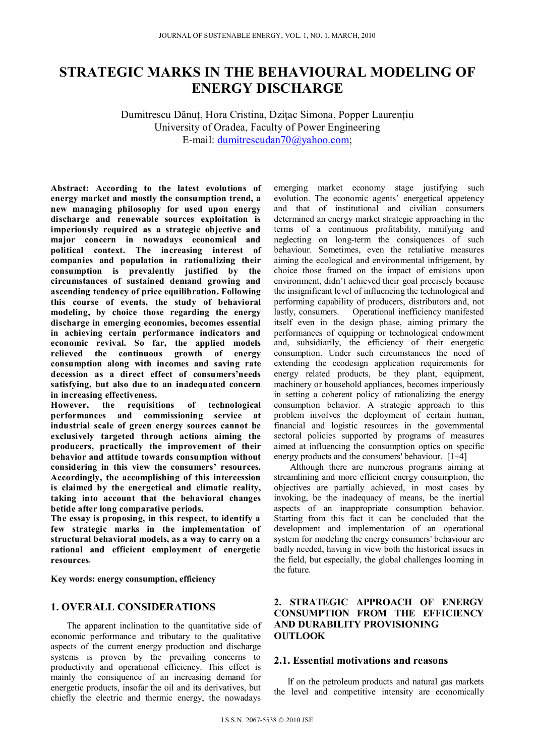# **STRATEGIC MARKS IN THE BEHAVIOURAL MODELING OF ENERGY DISCHARGE**

Dumitrescu Dănuț, Hora Cristina, Dzițac Simona, Popper Laurențiu University of Oradea, Faculty of Power Engineering E-mail: dumitrescudan70@yahoo.com;

**Abstract: According to the latest evolutions of energy market and mostly the consumption trend, a new managing philosophy for used upon energy discharge and renewable sources exploitation is imperiously required as a strategic objective and major concern in nowadays economical and political context. The increasing interest of companies and population in rationalizing their consumption is prevalently justified by the circumstances of sustained demand growing and ascending tendency of price equilibration. Following this course of events, the study of behavioral modeling, by choice those regarding the energy discharge in emerging economies, becomes essential in achieving certain performance indicators and economic revival. So far, the applied models relieved the continuous growth of energy consumption along with incomes and saving rate decession as a direct effect of consumers'needs satisfying, but also due to an inadequated concern in increasing effectiveness.** 

**However, the requisitions of technological performances and commissioning service at industrial scale of green energy sources cannot be exclusively targeted through actions aiming the producers, practically the improvement of their behavior and attitude towards consumption without considering in this view the consumers' resources. Accordingly, the accomplishing of this intercession is claimed by the energetical and climatic reality, taking into account that the behavioral changes betide after long comparative periods.** 

**The essay is proposing, in this respect, to identify a few strategic marks in the implementation of structural behavioral models, as a way to carry on a rational and efficient employment of energetic resources.** 

**Key words: energy consumption, efficiency** 

# **1. OVERALL CONSIDERATIONS**

The apparent inclination to the quantitative side of economic performance and tributary to the qualitative aspects of the current energy production and discharge systems is proven by the prevailing concerns to productivity and operational efficiency. This effect is mainly the consiquence of an increasing demand for energetic products, insofar the oil and its derivatives, but chiefly the electric and thermic energy, the nowadays

emerging market economy stage justifying such evolution. The economic agents' energetical appetency and that of institutional and civilian consumers determined an energy market strategic approaching in the terms of a continuous profitability, minifying and neglecting on long-term the consiquences of such behaviour. Sometimes, even the retaliative measures aiming the ecological and environmental infrigement, by choice those framed on the impact of emisions upon environment, didn't achieved their goal precisely because the insignificant level of influencing the technological and performing capability of producers, distributors and, not lastly, consumers. Operational inefficiency manifested itself even in the design phase, aiming primary the performances of equipping or technological endowment and, subsidiarily, the efficiency of their energetic consumption. Under such circumstances the need of extending the ecodesign application requirements for energy related products, be they plant, equipment, machinery or household appliances, becomes imperiously in setting a coherent policy of rationalizing the energy consumption behavior. A strategic approach to this problem involves the deployment of certain human, financial and logistic resources in the governmental sectoral policies supported by programs of measures aimed at influencing the consumption optics on specific energy products and the consumers' behaviour. [1÷4]

Although there are numerous programs aiming at streamlining and more efficient energy consumption, the objectives are partially achieved, in most cases by invoking, be the inadequacy of means, be the inertial aspects of an inappropriate consumption behavior. Starting from this fact it can be concluded that the development and implementation of an operational system for modeling the energy consumers' behaviour are badly needed, having in view both the historical issues in the field, but especially, the global challenges looming in the future.

# **2. STRATEGIC APPROACH OF ENERGY CONSUMPTION FROM THE EFFICIENCY AND DURABILITY PROVISIONING OUTLOOK**

## **2.1. Essential motivations and reasons**

 If on the petroleum products and natural gas markets the level and competitive intensity are economically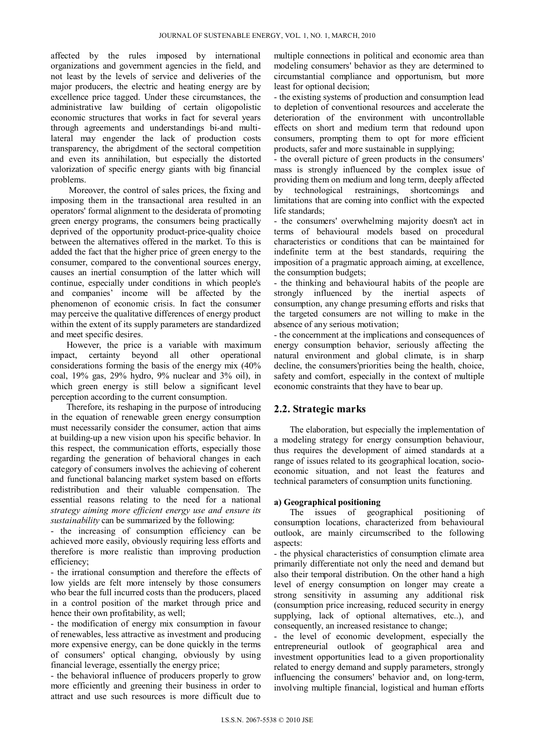affected by the rules imposed by international organizations and government agencies in the field, and not least by the levels of service and deliveries of the major producers, the electric and heating energy are by excellence price tagged. Under these circumstances, the administrative law building of certain oligopolistic economic structures that works in fact for several years through agreements and understandings bi-and multilateral may engender the lack of production costs transparency, the abrigdment of the sectoral competition and even its annihilation, but especially the distorted valorization of specific energy giants with big financial problems.

 Moreover, the control of sales prices, the fixing and imposing them in the transactional area resulted in an operators' formal alignment to the desiderata of promoting green energy programs, the consumers being practically deprived of the opportunity product-price-quality choice between the alternatives offered in the market. To this is added the fact that the higher price of green energy to the consumer, compared to the conventional sources energy, causes an inertial consumption of the latter which will continue, especially under conditions in which people's and companies' income will be affected by the phenomenon of economic crisis. In fact the consumer may perceive the qualitative differences of energy product within the extent of its supply parameters are standardized and meet specific desires.

 However, the price is a variable with maximum impact, certainty beyond all other operational considerations forming the basis of the energy mix (40% coal, 19% gas, 29% hydro, 9% nuclear and 3% oil), in which green energy is still below a significant level perception according to the current consumption.

 Therefore, its reshaping in the purpose of introducing in the equation of renewable green energy consumption must necessarily consider the consumer, action that aims at building-up a new vision upon his specific behavior. In this respect, the communication efforts, especially those regarding the generation of behavioral changes in each category of consumers involves the achieving of coherent and functional balancing market system based on efforts redistribution and their valuable compensation. The essential reasons relating to the need for a national *strategy aiming more efficient energy use and ensure its sustainability* can be summarized by the following:

- the increasing of consumption efficiency can be achieved more easily, obviously requiring less efforts and therefore is more realistic than improving production efficiency;

- the irrational consumption and therefore the effects of low yields are felt more intensely by those consumers who bear the full incurred costs than the producers, placed in a control position of the market through price and hence their own profitability, as well;

- the modification of energy mix consumption in favour of renewables, less attractive as investment and producing more expensive energy, can be done quickly in the terms of consumers' optical changing, obviously by using financial leverage, essentially the energy price;

- the behavioral influence of producers properly to grow more efficiently and greening their business in order to attract and use such resources is more difficult due to multiple connections in political and economic area than modeling consumers' behavior as they are determined to circumstantial compliance and opportunism, but more least for optional decision;

- the existing systems of production and consumption lead to depletion of conventional resources and accelerate the deterioration of the environment with uncontrollable effects on short and medium term that redound upon consumers, prompting them to opt for more efficient products, safer and more sustainable in supplying;

- the overall picture of green products in the consumers' mass is strongly influenced by the complex issue of providing them on medium and long term, deeply affected by technological restrainings, shortcomings and limitations that are coming into conflict with the expected life standards;

- the consumers' overwhelming majority doesn't act in terms of behavioural models based on procedural characteristics or conditions that can be maintained for indefinite term at the best standards, requiring the imposition of a pragmatic approach aiming, at excellence, the consumption budgets;

- the thinking and behavioural habits of the people are strongly influenced by the inertial aspects of consumption, any change presuming efforts and risks that the targeted consumers are not willing to make in the absence of any serious motivation;

- the concernment at the implications and consequences of energy consumption behavior, seriously affecting the natural environment and global climate, is in sharp decline, the consumers'priorities being the health, choice, safety and comfort, especially in the context of multiple economic constraints that they have to bear up.

# **2.2. Strategic marks**

 The elaboration, but especially the implementation of a modeling strategy for energy consumption behaviour, thus requires the development of aimed standards at a range of issues related to its geographical location, socioeconomic situation, and not least the features and technical parameters of consumption units functioning.

#### **a) Geographical positioning**

The issues of geographical positioning of consumption locations, characterized from behavioural outlook, are mainly circumscribed to the following aspects:

- the physical characteristics of consumption climate area primarily differentiate not only the need and demand but also their temporal distribution. On the other hand a high level of energy consumption on longer may create a strong sensitivity in assuming any additional risk (consumption price increasing, reduced security in energy supplying, lack of optional alternatives, etc..), and consequently, an increased resistance to change;

- the level of economic development, especially the entrepreneurial outlook of geographical area and investment opportunities lead to a given proportionality related to energy demand and supply parameters, strongly influencing the consumers' behavior and, on long-term, involving multiple financial, logistical and human efforts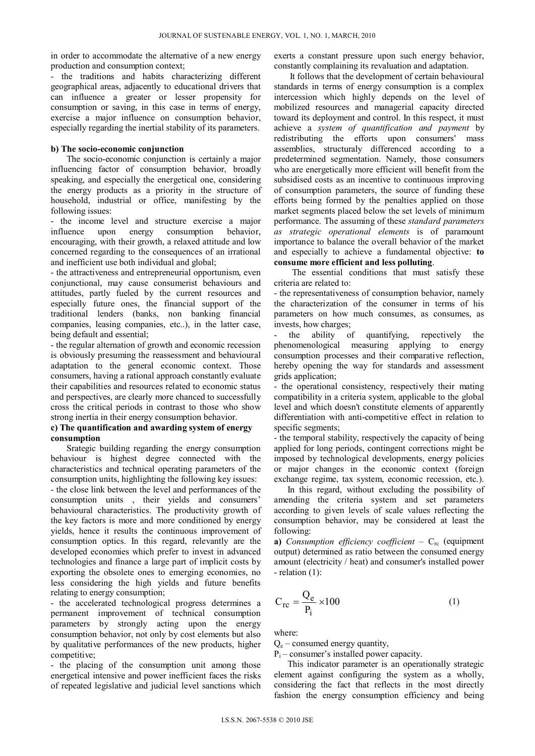in order to accommodate the alternative of a new energy production and consumption context;

- the traditions and habits characterizing different geographical areas, adjacently to educational drivers that can influence a greater or lesser propensity for consumption or saving, in this case in terms of energy, exercise a major influence on consumption behavior, especially regarding the inertial stability of its parameters.

#### **b) The socio-economic conjunction**

 The socio-economic conjunction is certainly a major influencing factor of consumption behavior, broadly speaking, and especially the energetical one, considering the energy products as a priority in the structure of household, industrial or office, manifesting by the following issues:

- the income level and structure exercise a major influence upon energy consumption behavior, encouraging, with their growth, a relaxed attitude and low concerned regarding to the consequences of an irrational and inefficient use both individual and global;

- the attractiveness and entrepreneurial opportunism, even conjunctional, may cause consumerist behaviours and attitudes, partly fueled by the current resources and especially future ones, the financial support of the traditional lenders (banks, non banking financial companies, leasing companies, etc..), in the latter case, being default and essential;

- the regular alternation of growth and economic recession is obviously presuming the reassessment and behavioural adaptation to the general economic context. Those consumers, having a rational approach constantly evaluate their capabilities and resources related to economic status and perspectives, are clearly more chanced to successfully cross the critical periods in contrast to those who show strong inertia in their energy consumption behavior.

## **c) The quantification and awarding system of energy consumption**

 Srategic building regarding the energy consumption behaviour is highest degree connected with the characteristics and technical operating parameters of the consumption units, highlighting the following key issues:

- the close link between the level and performances of the consumption units , their yields and consumers' behavioural characteristics. The productivity growth of the key factors is more and more conditioned by energy yields, hence it results the continuous improvement of consumption optics. In this regard, relevantly are the developed economies which prefer to invest in advanced technologies and finance a large part of implicit costs by exporting the obsolete ones to emerging economies, no less considering the high yields and future benefits relating to energy consumption;

- the accelerated technological progress determines a permanent improvement of technical consumption parameters by strongly acting upon the energy consumption behavior, not only by cost elements but also by qualitative performances of the new products, higher competitive;

- the placing of the consumption unit among those energetical intensive and power inefficient faces the risks of repeated legislative and judicial level sanctions which exerts a constant pressure upon such energy behavior, constantly complaining its revaluation and adaptation.

 It follows that the development of certain behavioural standards in terms of energy consumption is a complex intercession which highly depends on the level of mobilized resources and managerial capacity directed toward its deployment and control. In this respect, it must achieve a *system of quantification and payment* by redistributing the efforts upon consumers' mass assemblies, structuraly differenced according to a predetermined segmentation. Namely, those consumers who are energetically more efficient will benefit from the subsidised costs as an incentive to continuous improving of consumption parameters, the source of funding these efforts being formed by the penalties applied on those market segments placed below the set levels of minimum performance. The assuming of these *standard parameters as strategic operational elements* is of paramount importance to balance the overall behavior of the market and especially to achieve a fundamental objective: **to consume more efficient and less polluting**.

 The essential conditions that must satisfy these criteria are related to:

- the representativeness of consumption behavior, namely the characterization of the consumer in terms of his parameters on how much consumes, as consumes, as invests, how charges;

the ability of quantifying, repectively the phenomenological measuring applying to energy consumption processes and their comparative reflection, hereby opening the way for standards and assessment grids application;

- the operational consistency, respectively their mating compatibility in a criteria system, applicable to the global level and which doesn't constitute elements of apparently differentiation with anti-competitive effect in relation to specific segments;

- the temporal stability, respectively the capacity of being applied for long periods, contingent corrections might be imposed by technological developments, energy policies or major changes in the economic context (foreign exchange regime, tax system, economic recession, etc.).

 In this regard, without excluding the possibility of amending the criteria system and set parameters according to given levels of scale values reflecting the consumption behavior, may be considered at least the following:

**a)** *Consumption efficiency coefficient* –  $C_{\text{rc}}$  (equipment output) determined as ratio between the consumed energy amount (electricity / heat) and consumer's installed power - relation (1):

$$
C_{\rm rc} = \frac{Q_e}{P_i} \times 100\tag{1}
$$

where:

 $Q_e$  – consumed energy quantity,

 $P_i$  – consumer's installed power capacity.

 This indicator parameter is an operationally strategic element against configuring the system as a wholly, considering the fact that reflects in the most directly fashion the energy consumption efficiency and being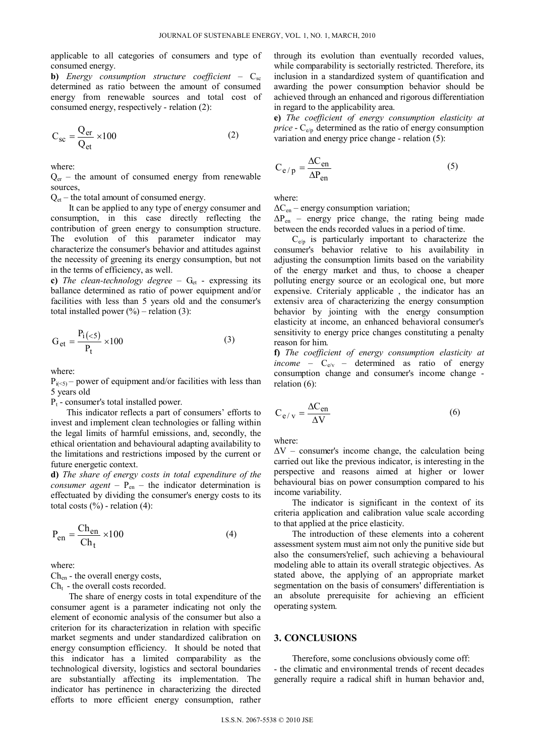applicable to all categories of consumers and type of consumed energy.

**b)** *Energy consumption structure coefficient* –  $C_{\text{sc}}$ determined as ratio between the amount of consumed energy from renewable sources and total cost of consumed energy, respectively - relation (2):

$$
C_{sc} = \frac{Q_{er}}{Q_{et}} \times 100
$$
 (2)

where:

 $Q_{er}$  – the amount of consumed energy from renewable sources,

 $Q_{et}$  – the total amount of consumed energy.

 It can be applied to any type of energy consumer and consumption, in this case directly reflecting the contribution of green energy to consumption structure. The evolution of this parameter indicator may characterize the consumer's behavior and attitudes against the necessity of greening its energy consumption, but not in the terms of efficiency, as well.

**c)** The clean-technology degree  $-G_{et}$  - expressing its ballance determined as ratio of power equipment and/or facilities with less than 5 years old and the consumer's total installed power  $(\% )$  – relation (3):

$$
G_{et} = \frac{P_i(\langle s \rangle)}{P_t} \times 100
$$
 (3)

where:

 $P_{i(5)}$  – power of equipment and/or facilities with less than 5 years old

 $P_t$  - consumer's total installed power.

 This indicator reflects a part of consumers' efforts to invest and implement clean technologies or falling within the legal limits of harmful emissions, and, secondly, the ethical orientation and behavioural adapting availability to the limitations and restrictions imposed by the current or future energetic context.

**d)** *The share of energy costs in total expenditure of the consumer agent* –  $P_{en}$  – the indicator determination is effectuated by dividing the consumer's energy costs to its total costs  $(\% )$  - relation (4):

$$
P_{en} = \frac{Ch_{en}}{Ch_t} \times 100
$$
 (4)

where:

Chen - the overall energy costs,

 $Ch_t$  - the overall costs recorded.

 The share of energy costs in total expenditure of the consumer agent is a parameter indicating not only the element of economic analysis of the consumer but also a criterion for its characterization in relation with specific market segments and under standardized calibration on energy consumption efficiency. It should be noted that this indicator has a limited comparability as the technological diversity, logistics and sectoral boundaries are substantially affecting its implementation. The indicator has pertinence in characterizing the directed efforts to more efficient energy consumption, rather through its evolution than eventually recorded values, while comparability is sectorially restricted. Therefore, its inclusion in a standardized system of quantification and awarding the power consumption behavior should be achieved through an enhanced and rigorous differentiation in regard to the applicability area.

**e)** *The coefficient of energy consumption elasticity at price* -  $C_{e/p}$  determined as the ratio of energy consumption variation and energy price change - relation (5):

$$
C_{e/p} = \frac{\Delta C_{en}}{\Delta P_{en}}
$$
 (5)

where:

 $\Delta C_{en}$  – energy consumption variation;

 $\Delta P_{en}$  – energy price change, the rating being made between the ends recorded values in a period of time.

 $C_{e/p}$  is particularly important to characterize the consumer's behavior relative to his availability in adjusting the consumption limits based on the variability of the energy market and thus, to choose a cheaper polluting energy source or an ecological one, but more expensive. Criterialy applicable , the indicator has an extensiv area of characterizing the energy consumption behavior by jointing with the energy consumption elasticity at income, an enhanced behavioral consumer's sensitivity to energy price changes constituting a penalty reason for him.

**f)** *The coefficient of energy consumption elasticity at income* –  $C_{e/v}$  – determined as ratio of energy consumption change and consumer's income change relation (6):

$$
C_{e/v} = \frac{\Delta C_{en}}{\Delta V}
$$
 (6)

where:

 $\Delta V$  – consumer's income change, the calculation being carried out like the previous indicator, is interesting in the perspective and reasons aimed at higher or lower behavioural bias on power consumption compared to his income variability.

 The indicator is significant in the context of its criteria application and calibration value scale according to that applied at the price elasticity.

 The introduction of these elements into a coherent assessment system must aim not only the punitive side but also the consumers'relief, such achieving a behavioural modeling able to attain its overall strategic objectives. As stated above, the applying of an appropriate market segmentation on the basis of consumers' differentiation is an absolute prerequisite for achieving an efficient operating system.

## **3. CONCLUSIONS**

 Therefore, some conclusions obviously come off: - the climatic and environmental trends of recent decades generally require a radical shift in human behavior and,